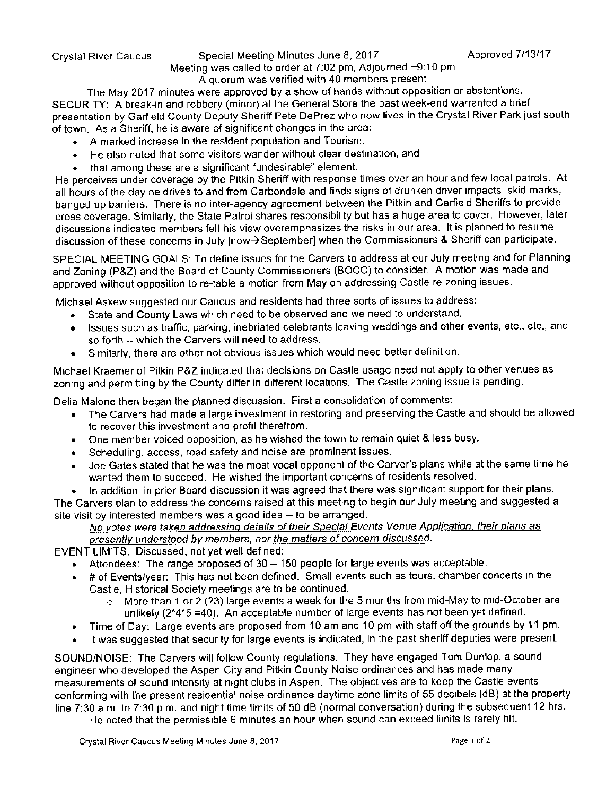## Crystal River Caucus Special Meeting Minutes June 8, 2017 Approved 7/13/17

## Meeting was called to order at  $7:02$  pm. Adjourned  $-9:10$  pm. A quorum was verified with 40 members present

The May 2017 minutes were approved by a show of hands without opposition or abstentions. SECURITY: A break-in and robbery ( minor) at the General Store the past week-end warranted a brief presentation by Garfield County Deputy Sheriff Pete DePrez who now lives in the Crystal River Park just south of town. As a Sheriff, he is aware of significant changes in the area:

- A marked increase in the resident population and Tourism.
- He also noted that some visitors wander without clear destination, and  $\bullet$
- that among these are a significant "undesirable" element

He perceives under coverage by the Pitkin Sheriff with response times over an hour and few local patrols. At all hours of the day he drives to and from Carbondale and finds signs of drunken driver impacts: skid marks, banged up barriers. There is no inter-agency agreement between the Pitkin and Garfield Sheriffs to provide cross coverage. Similarly, the State Patrol shares responsibility but has a huge area to cover. However, later discussions indicated members felt his view overemphasizes the risks in our area. It is planned to resume discussion of these concerns in July [now $\rightarrow$ September] when the Commissioners & Sheriff can participate.

SPECIAL MEETING GOALS. To define issues for the Carvers to address at our July meeting and for Planning and Zoning (P&Z) and the Board of County Commissioners (BOCC) to consider. A motion was made and approved without opposition to re-table a motion from May on addressing Castle re-zoning issues.

Michael Askew suggested our Caucus and residents had three sorts of issues to address:

- State and County Laws which need to be observed and we need to understand.  $\bullet$
- Issues such as traffic, parking, inebriated celebrants leaving weddings and other events, etc , etc., and so forth -- which the Carvers will need to address.
- Similarly, there are other not obvious issues which would need better definition

Michael Kraemer of Pitkin P&Z indicated that decisions on Castle usage need not apply to other venues as zoning and permitting by the County differ in different locations. The Castle zoning issue is pending.

Delia Malone then began the planned discussion. First a consolidation of comments:

- The Carvers had made a large investment in restoring and preserving the Castle and should be allowed  $\bullet$ to recover this investment and profit therefrom.
- One member voiced opposition, as he wished the town to remain quiet & less busy.
- Scheduling, access, road safety and noise are prominent issues.  $\bullet$
- Joe Gates stated that he was the most vocal opponent of the Carver's plans while at the same time he wanted them to succeed. He wished the important concerns of residents resolved.
- In addition, in prior Board discussion it was agreed that there was significant support for their plans

The Carvers plan to address the concerns raised at this meeting to begin our July meeting and suggested a site visit by interested members was a good idea -- to be arranged.

## No votes were taken addressing details of their Special Events Venue Application, their plans as presently understood by members, nor the matters of concern discussed.

EVENT LIMITS. Discussed, not yet well defined.

- **Attendees:** The range proposed of  $30 150$  people for large events was acceptable.
- # of Events/year: This has not been defined. Small events such as tours, chamber concerts in the Castle, Historical Society meetings are to be continued.
	- More than 1 or 2 (?3) large events a week for the 5 months from mid-May to mid-October are unlikely  $(2*4*5 = 40)$ . An acceptable number of large events has not been yet defined.
- Time of Day: Large events are proposed from 10 am and 10 pm with staff off the grounds by <sup>11</sup> pm.
- It was suggested that security for large events is indicated, in the past sheriff deputies were present.

SOUND/NOISE: The Carvers will follow County regulations. They have engaged Tom Dunlop, a sound engineer who developed the Aspen City and Pitkin County Noise ordinances and has made many measurements of sound intensity at night clubs in Aspen The objectives are to keep the Castle events conforming with the present residential noise ordinance daytime zone limits of 55 decibels (dB) at the property line 7:30 a.m. to 7:30 p.m. and night time limits of 50 dB (normal conversation) during the subsequent 12 hrs.

He noted that the permissible 6 minutes an hour when sound can exceed limits is rarely hit.